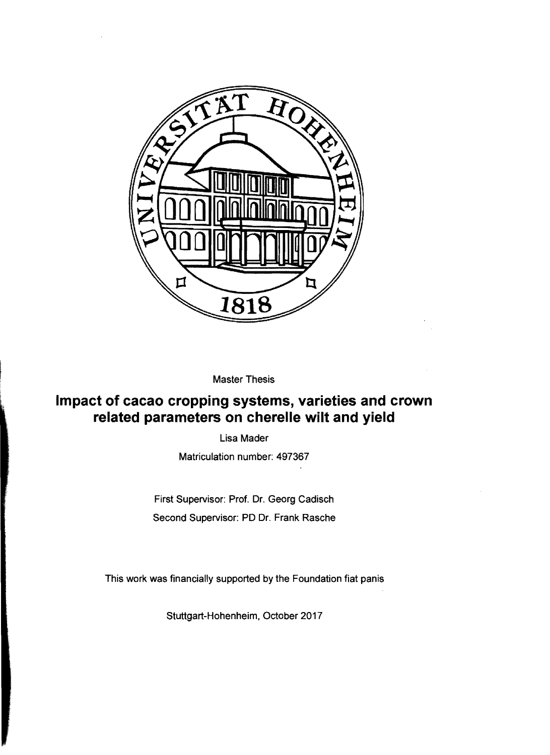

Master Thesis

## **Impact of cacao cropping systems, varieties and crown related parameters on cherelle wilt and yield**

Lisa Mader

Matriculation number: 497367

First Supervisor: Prof. Dr. Georg Cadisch Second Supervisor: PD Dr. Frank Rasche

This work was financially supported by the Foundation fiat panis

Stuttgart-Hohenheim, October 2017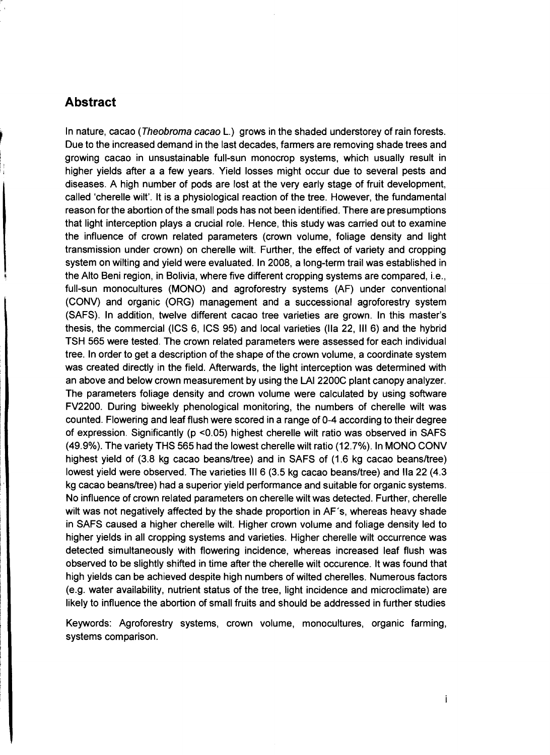## **Abstract**

In nature, cacao (Theobroma cacao L.) grows in the shaded understorey of rain forests. Due to the increased demand in the last decades, farmers are removing shade trees and growing cacao in unsustainable full-sun monocrop systems, which usually result in higher yields after a a few years. Yield losses might occur due to several pests and diseases. A high number of pods are lost at the very early stage of fruit development, called 'cherelle wilt'. It is a physiological reaction of the tree. However, the fundamental reason for the abortion of the small pods has not been identified. There are presumptions that light interception plays a crucial role. Hence, this study was carried out to examine the influence of crown related parameters (crown volume, foliage density and light transmission under crown) on cherelle wilt. Further, the effect of variety and cropping system on wilting and yield were evaluated. In 2008, a long-term trail was established in the Alto Beni region, in Bolivia, where five different cropping systems are compared, i.e., full-sun monocultures (MONO) and agroforestry systems (AF) under conventional (CONV) and organic (ORG) management and a successional agroforestry system (SAFS). In addition, twelve different cacao tree varieties are grown. In this master's thesis, the commercial (ICS 6, ICS 95) and local varieties (lia 22, 111 6) and the hybrid TSH 565 were tested. The crown related parameters were assessed for each individual tree. In order to get a description of the shape of the crown volume, a coordinate system was created directly in the field. Afterwards, the light interception was determined with an above and below crown measurement by using the LAI 2200C plant canopy analyzer. The parameters foliage density and crown volume were calculated by using software FV2200. During biweekly phenological monitoring, the numbers of cherelle wilt was counted. Flowering and leaf flush were scored in a range of 0-4 according to their degree of expression. Significantly (p <0.05) highest cherelle wilt ratio was observed in SAFS (49.9%). The variety THS 565 had the lowest cherelle wilt ratio (12.7%). In MONO CONV highest yield of (3.8 kg cacao beans/tree) and in SAFS of (1.6 kg cacao beans/tree) lowest yield were observed. The varieties III 6 (3.5 kg cacao beans/tree) and IIa 22 (4.3 kg cacao beans/tree) had a superior yield performance and suitable for organic systems. No influence of crown related parameters on cherelle wilt was detected. Further, cherelle wilt was not negatively affected by the shade proportion in AF's, whereas heavy shade in SAFS caused a higher cherelle wilt. Higher crown volume and foliage density led to higher yields in all cropping systems and varieties. Higher cherelle wilt occurrence was detected simultaneously with flowering incidence, whereas increased leaf flush was observed to be slightly shifted in time after the cherelle wilt occurence. It was found that high yields can be achieved despite high numbers of wilted cherelles. Numerous factors (e.g. water availability, nutrient status of the tree, light incidence and microclimate) are likely to influence the abortion of small fruits and should be addressed in further studies

Keywords: Agroforestry systems, crown volume, monocultures, organic farming, systems comparison.